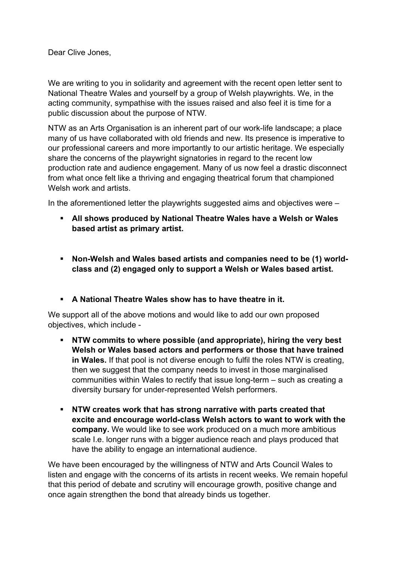Dear Clive Jones,

We are writing to you in solidarity and agreement with the recent open letter sent to National Theatre Wales and yourself by a group of Welsh playwrights. We, in the acting community, sympathise with the issues raised and also feel it is time for a public discussion about the purpose of NTW.

NTW as an Arts Organisation is an inherent part of our work-life landscape; a place many of us have collaborated with old friends and new. Its presence is imperative to our professional careers and more importantly to our artistic heritage. We especially share the concerns of the playwright signatories in regard to the recent low production rate and audience engagement. Many of us now feel a drastic disconnect from what once felt like a thriving and engaging theatrical forum that championed Welsh work and artists.

In the aforementioned letter the playwrights suggested aims and objectives were –

- ! **All shows produced by National Theatre Wales have a Welsh or Wales based artist as primary artist.**
- ! **Non-Welsh and Wales based artists and companies need to be (1) worldclass and (2) engaged only to support a Welsh or Wales based artist.**
- ! **A National Theatre Wales show has to have theatre in it.**

We support all of the above motions and would like to add our own proposed objectives, which include -

- ! **NTW commits to where possible (and appropriate), hiring the very best Welsh or Wales based actors and performers or those that have trained in Wales.** If that pool is not diverse enough to fulfil the roles NTW is creating, then we suggest that the company needs to invest in those marginalised communities within Wales to rectify that issue long-term – such as creating a diversity bursary for under-represented Welsh performers.
- ! **NTW creates work that has strong narrative with parts created that excite and encourage world-class Welsh actors to want to work with the company.** We would like to see work produced on a much more ambitious scale I.e. longer runs with a bigger audience reach and plays produced that have the ability to engage an international audience.

We have been encouraged by the willingness of NTW and Arts Council Wales to listen and engage with the concerns of its artists in recent weeks. We remain hopeful that this period of debate and scrutiny will encourage growth, positive change and once again strengthen the bond that already binds us together.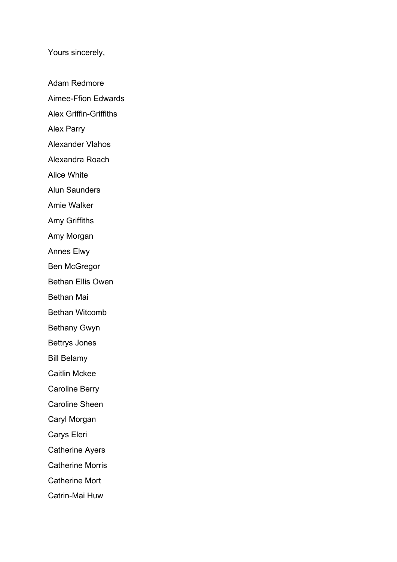Yours sincerely,

Adam Redmore Aimee-Ffion Edwards Alex Griffin-Griffiths Alex Parry Alexander Vlahos Alexandra Roach Alice White Alun Saunders Amie Walker Amy Griffiths Amy Morgan Annes Elwy Ben McGregor Bethan Ellis Owen Bethan Mai Bethan Witcomb Bethany Gwyn Bettrys Jones Bill Belamy Caitlin Mckee Caroline Berry Caroline Sheen Caryl Morgan Carys Eleri Catherine Ayers Catherine Morris Catherine Mort Catrin-Mai Huw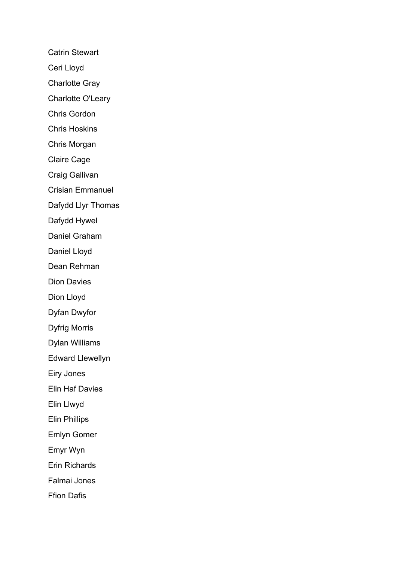Catrin Stewart

Ceri Lloyd

Charlotte Gray

Charlotte O'Leary

Chris Gordon

Chris Hoskins

Chris Morgan

Claire Cage

Craig Gallivan

Crisian Emmanuel

Dafydd Llyr Thomas

Dafydd Hywel

Daniel Graham

Daniel Lloyd

Dean Rehman

Dion Davies

Dion Lloyd

Dyfan Dwyfor

Dyfrig Morris

Dylan Williams

Edward Llewellyn

Eiry Jones

Elin Haf Davies

Elin Llwyd

Elin Phillips

Emlyn Gomer

Emyr Wyn

Erin Richards

Falmai Jones

Ffion Dafis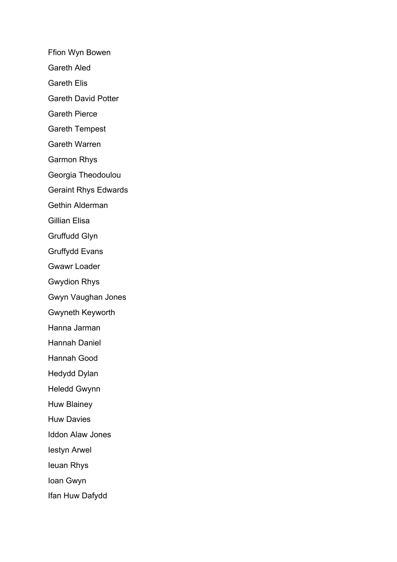Ffion Wyn Bowen

Gareth Aled

Gareth Elis

Gareth David Potter

Gareth Pierce

Gareth Tempest

Gareth Warren

Garmon Rhys

Georgia Theodoulou

Geraint Rhys Edwards

Gethin Alderman

Gillian Elisa

Gruffudd Glyn

Gruffydd Evans

Gwawr Loader

Gwydion Rhys

Gwyn Vaughan Jones

Gwyneth Keyworth

Hanna Jarman

Hannah Daniel

Hannah Good

Hedydd Dylan

Heledd Gwynn

Huw Blainey

Huw Davies

Iddon Alaw Jones

Iestyn Arwel

Ieuan Rhys

Ioan Gwyn

Ifan Huw Dafydd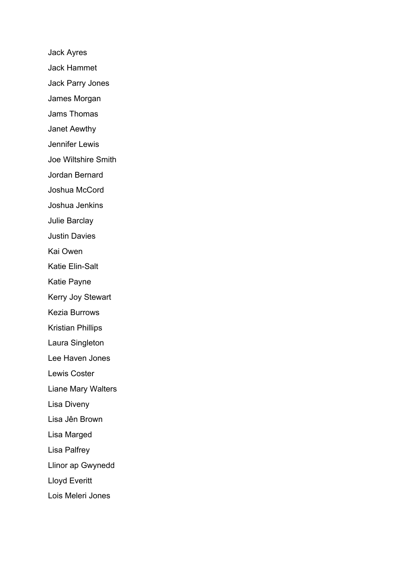Jack Ayres Jack Hammet Jack Parry Jones James Morgan Jams Thomas Janet Aewthy Jennifer Lewis Joe Wiltshire Smith Jordan Bernard Joshua McCord Joshua Jenkins Julie Barclay Justin Davies Kai Owen Katie Elin-Salt Katie Payne Kerry Joy Stewart Kezia Burrows Kristian Phillips Laura Singleton Lee Haven Jones Lewis Coster Liane Mary Walters Lisa Diveny Lisa Jên Brown Lisa Marged Lisa Palfrey Llinor ap Gwynedd Lloyd Everitt Lois Meleri Jones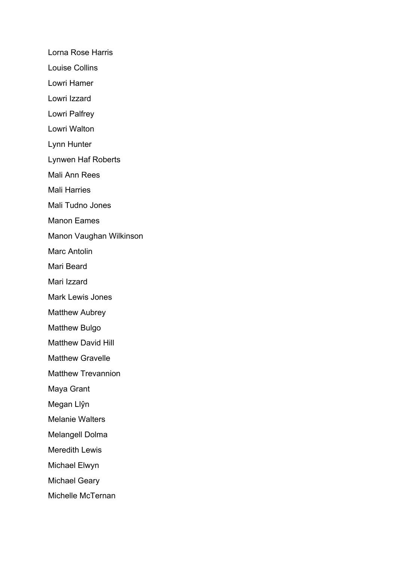Lorna Rose Harris

- Louise Collins
- Lowri Hamer
- Lowri Izzard
- Lowri Palfrey
- Lowri Walton
- Lynn Hunter
- Lynwen Haf Roberts
- Mali Ann Rees
- Mali Harries
- Mali Tudno Jones
- Manon Eames
- Manon Vaughan Wilkinson
- Marc Antolin
- Mari Beard
- Mari Izzard
- Mark Lewis Jones
- Matthew Aubrey
- Matthew Bulgo
- Matthew David Hill
- Matthew Gravelle
- Matthew Trevannion
- Maya Grant
- Megan Llŷn
- Melanie Walters
- Melangell Dolma
- Meredith Lewis
- Michael Elwyn
- Michael Geary
- Michelle McTernan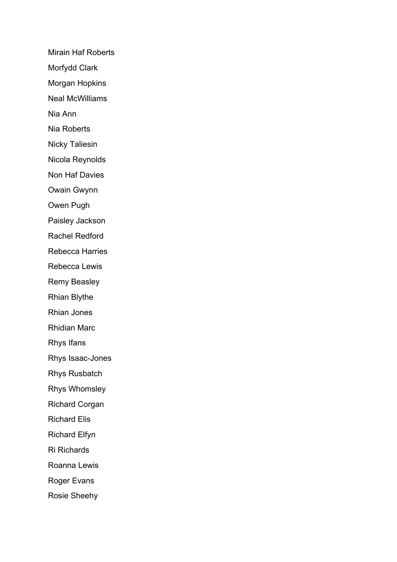Mirain Haf Roberts Morfydd Clark Morgan Hopkins Neal McWilliams Nia Ann Nia Roberts Nicky Taliesin Nicola Reynolds Non Haf Davies Owain Gwynn Owen Pugh Paisley Jackson Rachel Redford Rebecca Harries Rebecca Lewis Remy Beasley Rhian Blythe Rhian Jones Rhidian Marc Rhys Ifans Rhys Isaac-Jones Rhys Rusbatch Rhys Whomsley Richard Corgan Richard Elis Richard Elfyn Ri Richards Roanna Lewis Roger Evans Rosie Sheehy